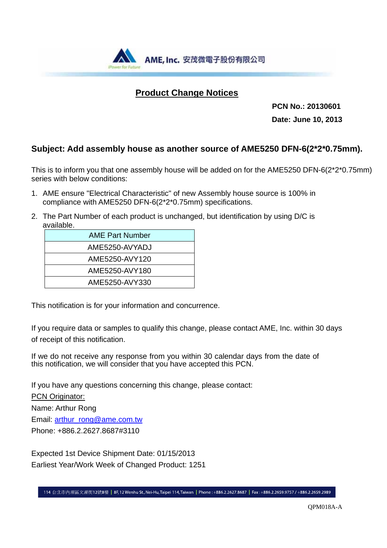

# **Product Change Notices**

 **PCN No.: 20130601 Date: June 10, 2013** 

## **Subject: Add assembly house as another source of AME5250 DFN-6(2\*2\*0.75mm).**

This is to inform you that one assembly house will be added on for the AME5250 DFN-6(2\*2\*0.75mm) series with below conditions:

- 1. AME ensure "Electrical Characteristic" of new Assembly house source is 100% in compliance with AME5250 DFN-6(2\*2\*0.75mm) specifications.
- 2. The Part Number of each product is unchanged, but identification by using D/C is available.

| <b>AME Part Number</b> |
|------------------------|
| AME5250-AVYADJ         |
| AME5250-AVY120         |
| AME5250-AVY180         |
| AME5250-AVY330         |

This notification is for your information and concurrence.

If you require data or samples to qualify this change, please contact AME, Inc. within 30 days of receipt of this notification.

If we do not receive any response from you within 30 calendar days from the date of this notification, we will consider that you have accepted this PCN.

If you have any questions concerning this change, please contact: PCN Originator: Name: Arthur Rong

Email: arthur\_rong@ame.com.tw Phone: +886.2.2627.8687#3110

Expected 1st Device Shipment Date: 01/15/2013 Earliest Year/Work Week of Changed Product: 1251

114 台北市內湖區文湖街12號8樓 | 8F, 12 Wenhu St., Nei-Hu, Taipei 114, Taiwan | Phone: +886.2.2627.8687 | Fax: +886.2.2659.9757 / +886.2.2659.2989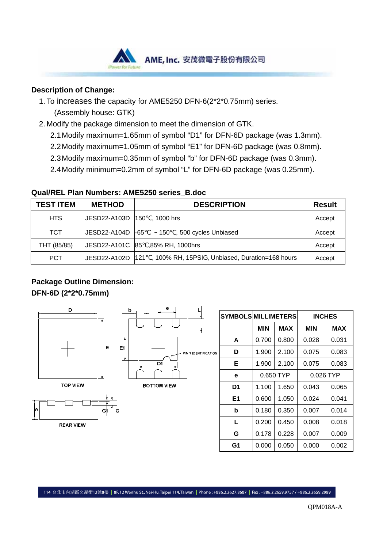

#### **Description of Change:**

- 1. To increases the capacity for AME5250 DFN-6(2\*2\*0.75mm) series.
	- (Assembly house: GTK)
- 2. Modify the package dimension to meet the dimension of GTK.
	- 2.1 Modify maximum=1.65mm of symbol "D1" for DFN-6D package (was 1.3mm).
	- 2.2 Modify maximum=1.05mm of symbol "E1" for DFN-6D package (was 0.8mm).
	- 2.3 Modify maximum=0.35mm of symbol "b" for DFN-6D package (was 0.3mm).
	- 2.4 Modify minimum=0.2mm of symbol "L" for DFN-6D package (was 0.25mm).

| TEST ITEM   | <b>METHOD</b> | <b>DESCRIPTION</b>                                      | <b>Result</b> |
|-------------|---------------|---------------------------------------------------------|---------------|
| <b>HTS</b>  | JESD22-A103D  | , 1000 hrs<br>150                                       | Accept        |
| <b>TCT</b>  | JESD22-A104D  | $\sim$ 150 , 500 cycles Unbiased<br>-65                 | Accept        |
| THT (85/85) |               | JESD22-A101C 85 ,85% RH, 1000hrs                        | Accept        |
| <b>PCT</b>  | JESD22-A102D  | , 100% RH, 15PSIG, Unbiased, Duration=168 hours<br>1121 | Accept        |

**Qual/REL Plan Numbers: AME5250 series\_B.doc** 

## **Package Outline Dimension:**

### **DFN-6D (2\*2\*0.75mm)**





|   | <b>SYMBOLS MILLIMETERS</b> |           |       | <b>INCHES</b> |       |
|---|----------------------------|-----------|-------|---------------|-------|
|   |                            | MIN       | MAX   | <b>MIN</b>    | MAX   |
|   | A                          | 0.700     | 0.800 | 0.028         | 0.031 |
| N | D                          | 1.900     | 2.100 | 0.075         | 0.083 |
|   | Е                          | 1.900     | 2.100 | 0.075         | 0.083 |
|   | е                          | 0.650 TYP |       | 0.026 TYP     |       |
|   | D <sub>1</sub>             | 1.100     | 1.650 | 0.043         | 0.065 |
|   | E1                         | 0.600     | 1.050 | 0.024         | 0.041 |
|   | b                          | 0.180     | 0.350 | 0.007         | 0.014 |
|   | L                          | 0.200     | 0.450 | 0.008         | 0.018 |
|   | G                          | 0.178     | 0.228 | 0.007         | 0.009 |
|   | G1                         | 0.000     | 0.050 | 0.000         | 0.002 |

114 台北市內湖區文湖街12號8樓 | 8F, 12 Wenhu St., Nei-Hu, Taipei 114, Taiwan | Phone: +886.2.2627.8687 | Fax: +886.2.2659.9757 / +886.2.2659.2989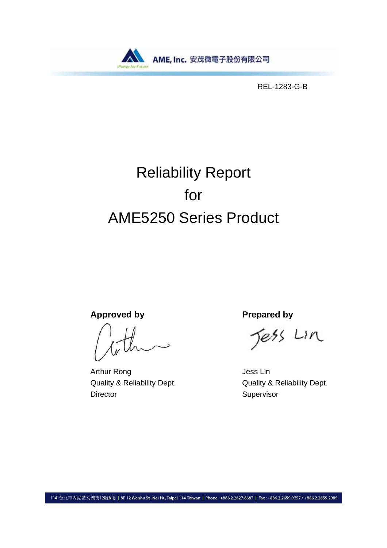

REL-1283-G-B

# Reliability Report for AME5250 Series Product

Approved by **Prepared by** 

Arthur Rong **Arthur Rong Jess Lin** Director Supervisor

Jess Lin

Quality & Reliability Dept. Quality & Reliability Dept.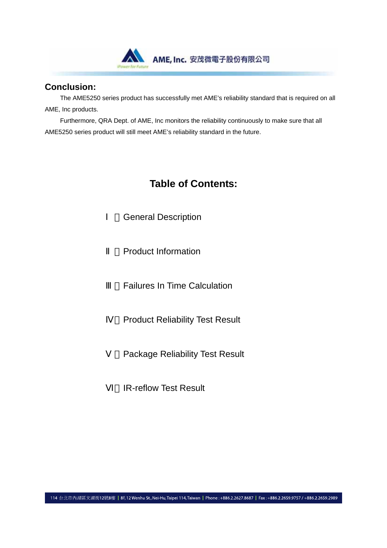

### **Conclusion:**

The AME5250 series product has successfully met AME's reliability standard that is required on all AME, Inc products.

Furthermore, QRA Dept. of AME, Inc monitors the reliability continuously to make sure that all AME5250 series product will still meet AME's reliability standard in the future.

# **Table of Contents:**

**General Description** 

Product Information

**Failures In Time Calculation** 

**Product Reliability Test Result** 

Package Reliability Test Result

**IR-reflow Test Result**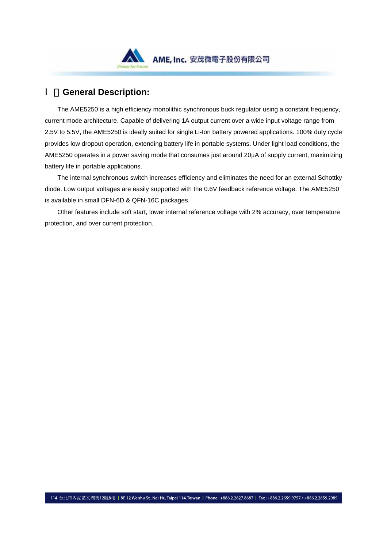

## **General Description:**

 The AME5250 is a high efficiency monolithic synchronous buck regulator using a constant frequency, current mode architecture. Capable of delivering 1A output current over a wide input voltage range from 2.5V to 5.5V, the AME5250 is ideally suited for single Li-Ion battery powered applications. 100% duty cycle provides low dropout operation, extending battery life in portable systems. Under light load conditions, the AME5250 operates in a power saving mode that consumes just around 20µA of supply current, maximizing battery life in portable applications.

 The internal synchronous switch increases efficiency and eliminates the need for an external Schottky diode. Low output voltages are easily supported with the 0.6V feedback reference voltage. The AME5250 is available in small DFN-6D & QFN-16C packages.

 Other features include soft start, lower internal reference voltage with 2% accuracy, over temperature protection, and over current protection.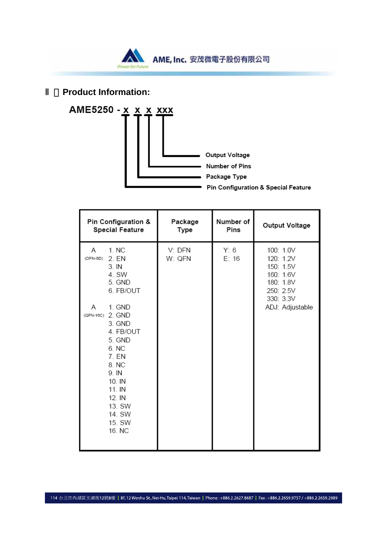

**Product Information:** 



| Pin Configuration &                                                                                                                                                                                                                                    | Package          | Number of     | Output Voltage                                                                                             |
|--------------------------------------------------------------------------------------------------------------------------------------------------------------------------------------------------------------------------------------------------------|------------------|---------------|------------------------------------------------------------------------------------------------------------|
| <b>Special Feature</b>                                                                                                                                                                                                                                 | Type             | Pins          |                                                                                                            |
| 1. NC<br>Α<br>2. EN<br>(DFN-6D)<br>3. IN<br>4. SW<br>5. GND<br>6. FB/OUT<br>1. GND<br>A<br>(QFN-16C) 2. GND<br>3. GND<br>4. FB/OUT<br>5. GND<br>6. NC<br>7. EN<br>8. NC<br>9. IN<br>10. IN<br>11. IN<br>12. IN<br>13. SW<br>14. SW<br>15. SW<br>16. NC | V: DFN<br>W: QFN | Y: 6<br>E: 16 | 100: 1.0V<br>120: 1.2V<br>150: 1.5V<br>160: 1.6V<br>180: 1.8V<br>250: 2.5V<br>330: 3.3V<br>ADJ: Adjustable |

114 台北市内湖區文湖街12號8樓 | 8F, 12 Wenhu St., Nei-Hu, Taipei 114, Taiwan | Phone : +886.2.2627.8687 | Fax : +886.2.2659.9757 / +886.2.2659.2989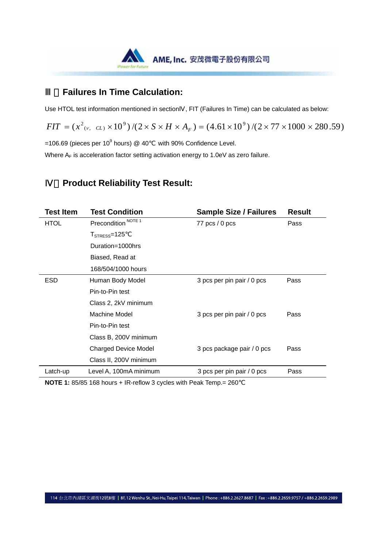

## **Failures In Time Calculation:**

Use HTOL test information mentioned in section , FIT (Failures In Time) can be calculated as below:

 $FIT = (x^2_{(v, CL)} \times 10^9) / (2 \times S \times H \times A_F) = (4.61 \times 10^9) / (2 \times 77 \times 1000 \times 280.59)$ 

 $=$ 106.69 (pieces per 10<sup>9</sup> hours) @ 40 with 90% Confidence Level.

Where  $A_F$  is acceleration factor setting activation energy to 1.0eV as zero failure.

# Ⅳ、**Product Reliability Test Result:**

| <b>Test Item</b> | <b>Test Condition</b>                 | <b>Sample Size / Failures</b> | <b>Result</b> |
|------------------|---------------------------------------|-------------------------------|---------------|
| <b>HTOL</b>      | Precondition <sup>NOTE 1</sup>        | 77 $pcs/0$ pcs                | Pass          |
|                  | $T_{\scriptstyle\mathrm{STRES}}$ =125 |                               |               |
|                  | Duration=1000hrs                      |                               |               |
|                  | Biased, Read at                       |                               |               |
|                  | 168/504/1000 hours                    |                               |               |
| <b>ESD</b>       | Human Body Model                      | 3 pcs per pin pair / 0 pcs    | Pass          |
|                  | Pin-to-Pin test                       |                               |               |
|                  | Class 2, 2kV minimum                  |                               |               |
|                  | Machine Model                         | 3 pcs per pin pair / 0 pcs    | Pass          |
|                  | Pin-to-Pin test                       |                               |               |
|                  | Class B, 200V minimum                 |                               |               |
|                  | <b>Charged Device Model</b>           | 3 pcs package pair / 0 pcs    | Pass          |
|                  | Class II, 200V minimum                |                               |               |
| Latch-up         | Level A, 100mA minimum                | 3 pcs per pin pair / 0 pcs    | Pass          |
|                  |                                       |                               |               |

**NOTE 1:** 85/85 168 hours + IR-reflow 3 cycles with Peak Temp.= 260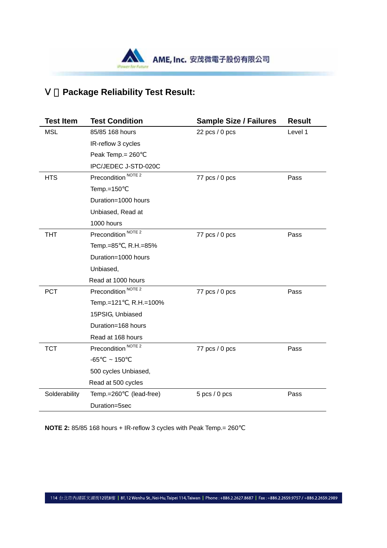

# **Package Reliability Test Result:**

| <b>Test Item</b> | <b>Test Condition</b>          | <b>Sample Size / Failures</b> | <b>Result</b> |
|------------------|--------------------------------|-------------------------------|---------------|
| <b>MSL</b>       | 85/85 168 hours                | $22$ pcs $/ 0$ pcs            | Level 1       |
|                  | IR-reflow 3 cycles             |                               |               |
|                  | Peak Temp. = 260               |                               |               |
|                  | IPC/JEDEC J-STD-020C           |                               |               |
| <b>HTS</b>       | Precondition <sup>NOTE 2</sup> | 77 pcs / 0 pcs                | Pass          |
|                  | Temp.=150                      |                               |               |
|                  | Duration=1000 hours            |                               |               |
|                  | Unbiased, Read at              |                               |               |
|                  | 1000 hours                     |                               |               |
| <b>THT</b>       | Precondition <sup>NOTE 2</sup> | 77 pcs / 0 pcs                | Pass          |
|                  | Temp.=85, R.H.=85%             |                               |               |
|                  | Duration=1000 hours            |                               |               |
|                  | Unbiased,                      |                               |               |
|                  | Read at 1000 hours             |                               |               |
| <b>PCT</b>       | Precondition <sup>NOTE 2</sup> | 77 pcs / 0 pcs                | Pass          |
|                  | Temp.=121, R.H.=100%           |                               |               |
|                  | 15PSIG, Unbiased               |                               |               |
|                  | Duration=168 hours             |                               |               |
|                  | Read at 168 hours              |                               |               |
| <b>TCT</b>       | Precondition <sup>NOTE 2</sup> | 77 pcs / 0 pcs                | Pass          |
|                  | -65<br>~150                    |                               |               |
|                  | 500 cycles Unbiased,           |                               |               |
|                  | Read at 500 cycles             |                               |               |
| Solderability    | (lead-free)<br>Temp.=260       | $5$ pcs $/ 0$ pcs             | Pass          |
|                  | Duration=5sec                  |                               |               |

**NOTE 2:** 85/85 168 hours + IR-reflow 3 cycles with Peak Temp.= 260